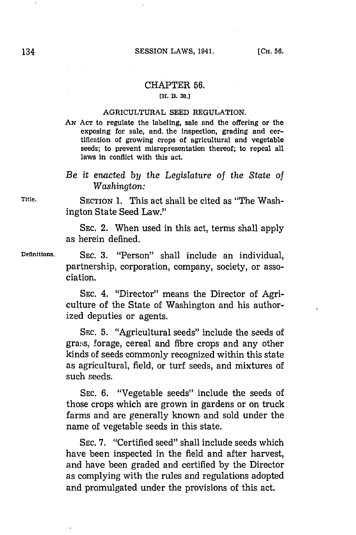## CHAPTER **56.**

## **[H. B. 30.J**

## AGRICULTURAL **SEED REGULATION.**

- **Aw ACT** to regulate the labeling, sale and the offering or the exposing for sale, and. the Inspection, grading and certification of growing crops of agricultural and vegetable seeds; to prevent misrepresentation thereof; to repeal all laws In conflict with this act.
- *Be it* enacted *by the Legislature of the State of Washington:*

**Title. SECTION 1.** This act shall be cited as "The Washington State Seed Law."

> **SEC.** 2. When used in this act, terms shall apply as herein defined.

**Definitions. SEC. 3.** "Person" shall include an individual, partnership, corporation, company, society, or association.

> **SEC.** 4. "Director" means the Director of Agriculture of the State of Washington and his authorized deputies or agents.

> SEC. **5.** "Agricultural seeds" include the seeds of grass, forage, cereal and fibre crops and any other kinds of seeds commonly recognized within this state as agricultural, field, or turf seeds, and mixtures of such seeds.

> SEC. **6.** "Vegetable seeds" include the seeds of those crops which are grown in gardens or on truck farms and are generally known. and sold under the name of vegetable seeds in this state.

> **SEC. 7.** "Certified seed" shall include seeds which have been inspected in the field and after harvest, and have been graded and certified **by** the Director as complying with the rules and regulations adopted and promulgated under the provisions of this act.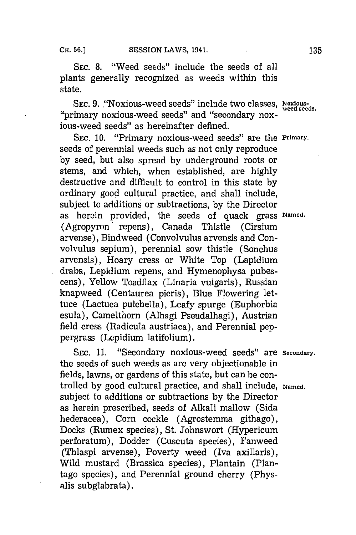SEC. 8. "Weed seeds" include the seeds of all plants generally recognized as weeds within this state.

SEC. 9. **"Noxious-weed seeds" include two classes**, Noxious-"primary noxious-weed seeds" and "secondary noxious-weed seeds" as hereinafter defined.

SEC. 10. **"Primary noxious-weed seeds"** are the Primary. seeds of perennial weeds such as not only reproduce **by** seed, but also spread **by** underground roots or stems, and which, when established, are **highly** destructive and difficult to control in this state **by** ordinary good cultural practice, and shall include, subject to additions or subtractions, **by** the Director as herein provided, the seeds of quack grass Named. (Agropyron' repens), Canada Thistle (Cirsium arvense), Bindweed (Convolvulus arvensis and Convolvulus sepium), perennial sow thistle (Sonchus arvensis), Hoary cress or White Top (Lapidium draba, Lepidium. repens, and Hymenophysa pubescens), Yellow Toadfiax (Linaria vulgaris), Russian knapweed (Centaurea picris), Blue Flowering lettuce (Lactuca puichella), Leafy spurge (Euphorbia esula), Camelthorn (Alhagi Pseudalhagi), Austrian field cress (Radicula austriaca), and Perennial peppergrass (Lepidium latifolium).

SEC. 11. "Secondary noxious-weed seeds" are secondary. the seeds of such weeds as are very objectionable in fields, lawns, or gardens of this state, but can be controlled **by** good cultural practice, and shall include, Named. subject to additions or subtractions **by** the Director as herein prescribed, seeds of Alkali mallow (Sida hederacea), Corn cockle (Agrostemma githago), Docks (Rumex species), St. Johnswort (Hypericum perforatum), Dodder (Cuscuta species), Fanweed (Thlaspi arvense), Poverty weed (Iva axillaris), Wild mustard (Brassica species), Plantain (Plantago species) , and Perennial ground cherry (Physalis subglabrata).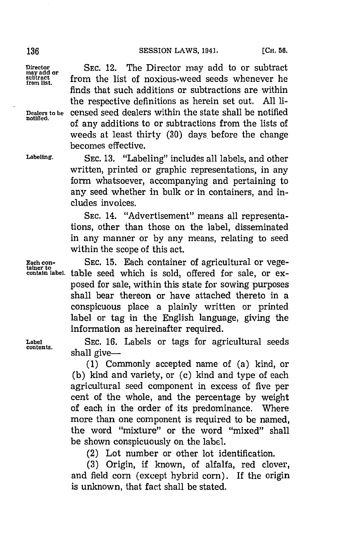finds that such additions or subtractions are within the respective definitions as herein set out. **All** ii-

of any additions to or subtractions from the lists of

Director **or** SEC. 12. The Director may add to or subtract subtract **from** the list of noxious-weed seeds whenever he **from** list.

**Dealers to be** censed seed dealers within the state shall be notified

weeds at least thirty **(30)** days. before the change becomes effective. **Labeling. SEC. 13.** "Labeling" includes all labels, and other written, printed or graphic representations, in any form whatsoever, accompanying and pertaining to any seed whether in bulk or in containers, and includes invoices.

> **SEC.** 14. "Advertisement" means all representations, other than those on the label, disseminated in any manner or **by** any means, relating to seed within the scope of this act.

**Each con- SEC. 15.** Each container of agricultural or vege- **tainer to** table seed which is sold, offered for sale, or exposed for sale, within this state for sowing purposes shall bear thereon or have attached thereto in a conspicuous place a plainly written or printed label or tag in the English language, giving the information as hereinafter required.

**Label <sup>5</sup>**SEC. **16.** Labels or tags for agricultural seeds shall give $-$ 

> **(1)** Commonly accepted name of (a) kind, or **(b)** kind and variety, or (c) kind and type of each agricultural seed component in excess of five per cent of the whole, and the percentage **by** weight of each in the order of its predominance. Where more than one component is required to be named, the word "mixture" or the word "mixed" shall be shown conspicuously on the label.

(2) Lot number or other lot identification.

**(3)** Origin, if known, of alfalfa, red clover, and field corn (except hybrid corn). If the origin is unknown, that fact shall be stated.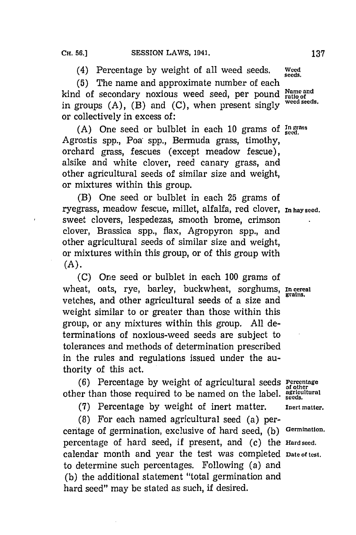(4) Percentage **by** weight of all weed seeds. We

(5) The name and approximate number of each **Kind** of secondary noxious weed seed, per pound **Entice**d kind of secondary noxious weed seed, per pound radio of an experience in groups  $(A)$ ,  $(B)$  and  $(C)$ , when present singly <sup>weed seeds.</sup> or collectively in excess of:

**(A)** One seed or bulblet in each **10** grams of **Ingras s** Agrostis spp., Poa: spp., Bermuda grass, timothy, orchard grass, fescues (except meadow fescue), alsike and white clover, reed canary grass, and other agricultural seeds of similar size and weight, or mixtures within this group.

(B) One seed or bulbiet in each **25** grams of ryegrass, meadow fescue, millet, alfalfa, red clover, **In hay seed.** sweet clovers, lespedezas, smooth brome, crimson clover, Brassica spp., flax, Agropyron spp., and other agricultural seeds of similar size and weight, or mixtures within this group, or of this group with **(A).**

**(C)** One seed or bulblet in each **100** grams of wheat, oats, rye, barley, buckwheat, sorghums, **In cereal** vetches, and other agricultural seeds of a size and weight similar to or greater than those within this group, or any mixtures within this group. **All** determinations of noxious-weed seeds are subject to tolerances and methods of determination prescribed in the rules and regulations issued under the authority of this act.

**(6)** Percentage **by** weight of agricultural seeds **Percentage** other than those required to be named on the label.  $_{\rm seeds}^{\rm grid: unitural}$ 

**(7)** Percentage **by** weight of inert matter. **Inert matter.**

**(8)** For each named agricultural seed (a) percentage of germination, exclusive of hard seed, **(b) Germination.** percentage of hard seed, if present, and (c) the **Hard seed.** calendar month and year the test was completed **Date of test.** to determine such percentages. Following (a) and **(b)** the additional statement "total germination and hard seed" may be stated as such, if desired.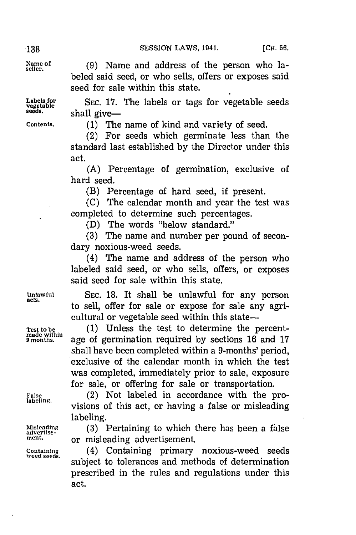beled said seed, or who sells, offers or exposes said

seed for sale within this state.

<sub>Name of</sub> (9) Name and address of the person who la

Labels for SEC. 17. The labels or tags for vegetable seeds seeds. **Shall** give-

**Contents. (1)** The name of kind and variety of seed.

(2) For seeds which germinate less than the standard last established **by** the Director under this act.

**(A)** Percentage of germination, exclusive of hard seed.

(B) Percentage of hard seed, if present.

**(C)** The calendar month and year the test was completed to determine such percentages.

**(D)** The words "below standard."

**(3)** The name and number per pound of secondary noxious-weed seeds.

(4) The name and address of the person who labeled said seed, or who sells, offers, or exposes said seed for sale within this state.

**Unlawful SEC. 18.** It shall be unlawful for any person **acts.** to sell, offer for sale or expose for sale any agricultural or vegetable seed within this state-

Test to be (1) Unless the test to determine the percent-<br> *P* months. age of germination required by sections 16 and 17 **9 months,** age of germination required **by** sections **16** and **17** shall have been completed within a 9-months' period, exclusive of the calendar month in which the test was completed, immediately prior to sale, exposure for sale, or offering for sale or transportation.

 $F_{\text{false}}$  (2) Not labeled in accordance with the provisions of this act, or having a false or misleading labeling.

Misleading (3) Pertaining to which there has been a false antertise-<br> **and a** misleading advertisement or misleading advertisement.

Containing (4) Containing primary noxious-weed seeds<br>weed seeds.<br>subject to tolerances and methods of determination prescribed in the rules and regulations under this act.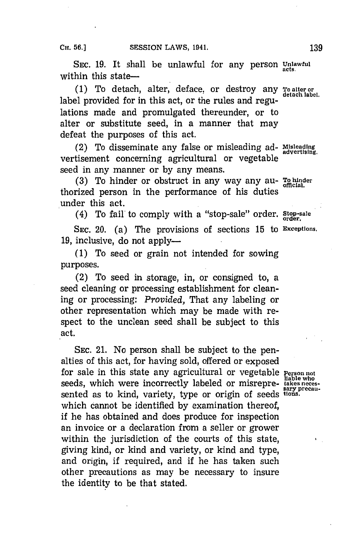SEC. 19. It shall be unlawful for any person Unlawful within this state-

**(1)** To detach, alter, deface, or destroy any **To alter or detach label,** label provided for in this act, or the rules and regulations made and promulgated thereunder, or to alter or substitute seed, in a manner that may defeat the purposes of this act.

(2) To disseminate any false or misleading ad- **Misleading** vertisement concerning agricultural or vegetable seed in any manner or **by** any means.

**(3)** To hinder or obstruct in any way any au- **To hin~der** thorized person in the performance of his duties under this act.

(4) To fail to comply with a "stop-sale" order. Stop-sale

**SEC.** 20. (a) The provisions of sections **15** to **Exceptions.** 19, inclusive, do not apply-

**(1)** To seed or grain not intended for sowing purposes.

(2) To seed in storage, in, or consigned to, a seed cleaning or processing establishment for cleaning or processing: *Provided,* That any labeling or other representation which may be made with respect to the unclean seed shall be subject to this act.

**SEC.** 21. No person shall be subject to the penalties of this act, for having sold, offered or exposed for sale in this state any agricultural or vegetable **Person not**<br>liable who seeds, which were incorrectly labeled or misrepre-<br> **EXECUTE: EXECUTE: EXECUTE: EXECUTE: EXECUTE: EXECUTE:** sented as to kind, variety, type or origin of seeds **tios** which cannot be identified **by** examination thereof, if he has obtained and does produce for inspection an invoice or a declaration from a seller or grower within the jurisdiction of the courts of this state, giving kind, or kind and variety, or kind and type, and origin, if required, and if he has taken such other precautions as may be necessary to insure the identity to be that stated.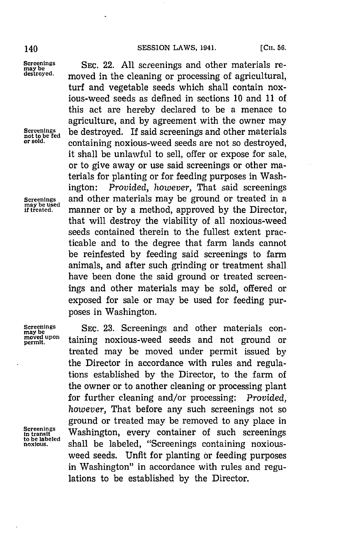## 140 **SESSION LAWS, 1041. [Cui. 56.**

**Screenings**

Screenings SEC. 22. All screenings and other materials re-<br>
destroyed. moved in the algoring or processing of agricultural moved in the cleaning or processing of agricultural, turf and vegetable seeds which shall contain noxious-weed seeds as defined in sections **10** and **11** of this act are hereby declared to be a menace to agriculture, and **by** agreement with the owner may **Screenings** be destroyed. If said screenings and other materials **not to be fed or sold,** containing noxious-weed seeds are not so destroyed, it shall be unlawful to sell, offer or expose for sale, or to give away or use said screenings or other materials for planting or for feeding purposes in Washington: *Provided, however,* That said screenings **Screenings** and other materials may be ground or treated in a **if treated.** manner or **by** a method, approved **by** the Director, that will destroy the viability of all noxious-weed seeds contained therein to the fullest extent practicable and to the degree that farm lands cannot be reinfested **by** feeding said screenings to farm animals, and after such grinding or treatment shall have been done the said ground or treated screenings and other materials may be sold, offered or exposed for sale or may be used for feeding purposes in Washington.

Screenings SEC. 23. Screenings and other materials con-<br>maybe upon toining portious wood soods and not ground on may be **been the contract of the set of the set of the set of the materials contract of the set of the materials<br>
moved upon<br>
permit. <b>and** not ground o treated may be moved under permit issued **by** the Director in accordance with rules and regulations established **by** the Director, to the farm of the owner or to another cleaning or processing plant for further cleaning and/or processing: *Provided, however,* That before any such screenings not so ground or treated may be removed to any place in **in transit** Washington, erycnaerosuhscreenings **tbe** labeledevrcotieofsh **noxious,** shall be labeled, "Screenings containing noxiousweed seeds. Unfit for planting or feeding purposes in Washington" in accordance with rules and regulations to be established **by** the Director.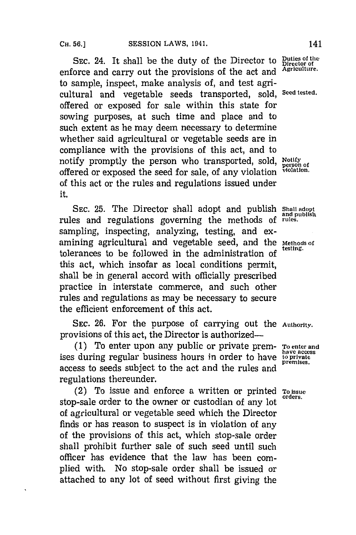SEC. 24. It shall be the duty of the Director to **Duties of the** correct of the correct of the and *Agriculture*. enforce and carry out the provisions of the act and to sample, inspect, make analysis of, and test agricultural and vegetable seeds transported, sold, **Seed tested.** offered or exposed for sale within this state for sowing purposes, at such time and place and to such extent as he may deem necessary to determine whether said agricultural or vegetable seeds are in compliance with the provisions of this act, and to notify promptly the person who transported, sold, **Notify** person of offered or exposed the seed for sale, of any violation violation. of this act or the rules and regulations issued under it.

**SEC. 25.** The Director shall adopt and publish **Shall adopt ofand publish** rules and regulations governing the methods **ofrules.** sampling, inspecting, analyzing, testing, and examining agricultural and vegetable seed, and the Methods of tolerances to be followed in the administration of this act, which insofar as local conditions permit, shall be in general accord with officially prescribed practice in interstate commerce, and such other rules and regulations as may be necessary to secure the efficient enforcement of this act.

**SEC. 26.** For the purpose of carrying out the **Authority.** provisions of this act, the Director is authorized-

**(1)** To enter upon any public or private prem- **To enter and** ises during regular business hours in order to have **the unital department** access to seeds subject to the act and the rules and regulations thereunder.

(2) To issue and enforce a written or printed **To issue** stop-sale order to the owner or custodian of any lot of agricultural or vegetable seed which the Director finds or has reason to suspect is in violation of any of the provisions of this act, which stop-sale order shall prohibit further sale of such seed until such officer has evidence that the law has been complied with. No stop-sale order shall be issued or attached to any lot of seed without first giving the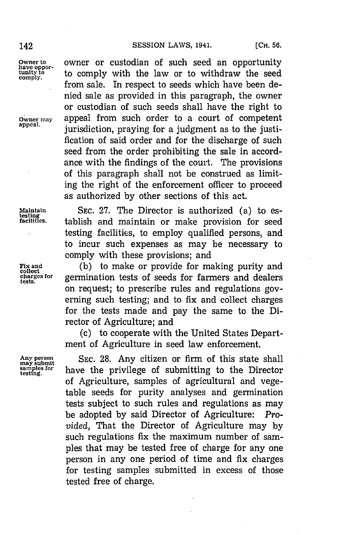Owner to **owner or custodian of such seed an opportunity** the **have oppor-** to comply with the law or to withdraw the seed comply. from sale. In respect to seeds which have been denied sale as provided in this paragraph, the owner or custodian of such seeds shall have the right to **OWNET MAY ONEXELLE SUPPER THE APPEAR APPEAR APPEAR APPEAR APPEAR APPEAR APPEAR APPEAR APPEAR APPEAR APPEAR APPEAR APPEAR APPEAR APPEAR APPEAR APPEAR APPEAR APPEAR APPEAR APPEAR APPEAR APPEAR APPEAR APPEAR APPEAR APPEAR appeal,** jurisdiction, praying for a judgment as to the justification of said order and for the discharge of such seed from the order prohibiting the sale in accordance with the findings of the court. The provisions of this paragraph shall not be construed as limiting the right of the enforcement officer to proceed as authorized **by** other sections of this act.

**Maintain SEC. 27.** The Director is authorized (a) to es- **testin facililtes.** tablish and maintain or make provision for seed testing facilities, to employ qualified persons, and to incur such expenses as may be necessary to comply with these provisions; and

**Fix and (b)** to make or provide for making purity and **collect charges for** germination tests of seeds for farmers and dealers on request; to prescribe rules and regulations governing such testing; and to fix and collect charges for the tests made and pay the same to the Director of Agriculture; and

> **(c)** to cooperate with the United States Department of Agriculture in seed law enforcement.

Any person SEC. 28. Any citizen or firm of this state shall samples for have the privilege of submitting to the Director have the privilege of submitting to the Director of Agriculture, samples of agricultural and vegetable seeds for purity analyses and germination tests subject to such rules and regulations as may be adopted **by** said Director of Agriculture: *Provided,* That the Director of Agriculture may **by** such regulations fix the maximum number of samples that may be tested free of charge for any one person in any one period of time and fix charges for testing samples submitted in excess of those tested free of charge.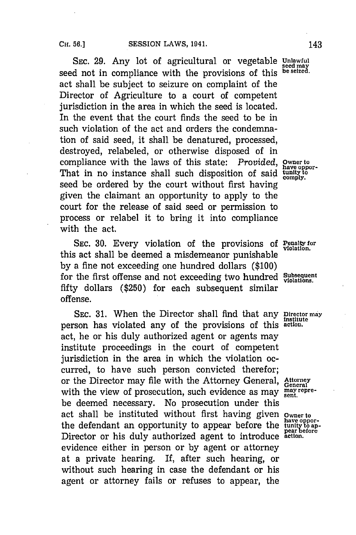SEC. 29. Any lot of agricultural or vegetable Unlawful seed not in compliance with the provisions of this **be selzed**. act shall be subject to seizure on complaint of the Director of Agriculture to a court of competent jurisdiction in the area in which the seed is located. In the event that the court finds the seed to be in such violation of the act and orders the condemnation of said seed, it shall be denatured, processed, destroyed, relabeled, or otherwise disposed of in compliance with the laws of this state: *Provided*, **Owner to** have oppor-That in no instance shall such disposition of said **tunity to .comply.** seed be ordered **by** the court without first having given the claimant an opportunity to apply to the court for the release of said seed or permission to process or relabel it to bring it into compliance with the act.

SEC. 30. Every violation of the provisions of Penaltyfor this act shall be deemed a misdemeanor punishable **by** a fine not exceeding one hundred dollars **(\$100)** for the first offense and not exceeding two hundred Subsequent fifty dollars **(\$250)** for each subsequent similar offense.

SEc. **31.** When the Director shall find that any **Director may institute** person has violated any of the provisions of this **actiom.** act, he or his duly authorized agent or agents may institute proceedings in the court of competent jurisdiction in the area in which the violation occurred, to have such person convicted therefor; or the Director may file with the Attorney General, **Attorney** with the view of prosecution, such evidence as may  $\frac{\text{max}}{\text{sent}}$ . be deemed necessary. No prosecution under this act shall be instituted without first having given **owner to** the defendant an opportunity to appear before the Director or his duly authorized agent to introduce action. evidence either in person or **by** agent or attorney at a private hearing. If, after such hearing, or without such hearing in case the defendant or his agent or attorney fails or refuses to appear, the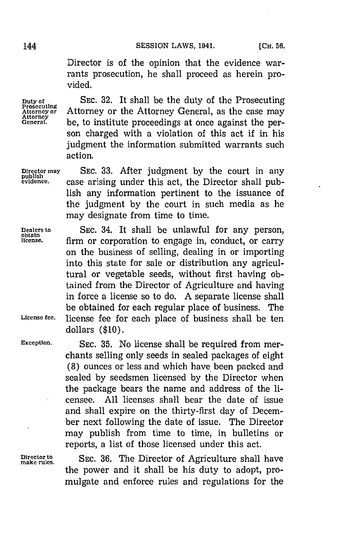Director is of the opinion that the evidence warrants prosecution, he shall proceed as herein provided.

**Duty of SEC. 32.** It shall be the duty of the Prosecuting **Prosecuting Attorney or** Attorney or the Attorney General, as the case may General. be, to institute proceedings at once against the person charged with a violation of this act if in his judgment the information submitted warrants such action.

**Director may SEC. 33.** After judgment **by** the court in any **publishl evidence,** case arising under this act, the Director shall publish any information pertinent to the issuance of the judgment **by** the court in such media as he may designate from time to time.

**Dealers to SEC.** 34. It shall be unlawful for any person, **obtain license,** firm or corporation to engage in, conduct, or carry on the business of selling, dealing in or importing into this state for sale or distribution any agricultural or vegetable seeds, without first having obtained from the Director of Agriculture and having in force a license so to do. **A** separate license shall be obtained for each regular place of business. The **License fee,** license fee for each place of business shall be ten dollars **(\$10).**

**Exception, SEC. 35.** No license shall be required from merchants selling only seeds in sealed packages of eight **(8)** ounces or less and which have been packed and sealed **by** seedsmen licensed **by** the Director when the package bears the name and address of the licensee. **All** licenses shall bear the date of issue and shall expire on the thirty-first day of December next following the date of issue. The Director may publish from time to time, in bulletins or reports, a list of those licensed under this act.

**Director to SEC.** 36. The Director of the power and it shall be his duty to adopt, promulgate and enforce rules and regulations for the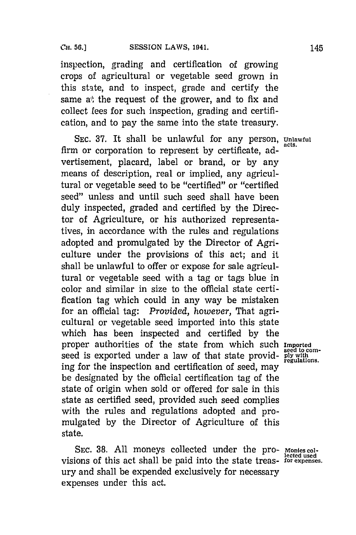inspection, grading and certification of growing crops of agricultural or vegetable seed grown in this state, and to inspect, grade and certify the same a), the request of the grower, and to fix and collect fees for such inspection, grading and certification, and to pay the same into the state treasury.

**SEC. 37.** It shall be unlawful for any person, **Unlawful** firm or corporation to represent by certificate, advertisement, placard, label or brand, or **by** any means of description, real or implied, any agricultural or vegetable seed to be "certified" or "certified seed" unless and until such seed shall have been duly inspected, graded and certified **by** the Director of Agriculture, or his authorized representatives, in accordance with the rules and regulations adopted and promulgated **by** the Director of Agriculture under the provisions of this act; and it shall be unlawful to offer or expose for sale agricultural or vegetable seed with a tag or tags blue in color and similar in size to the official state certification tag which could in any way be mistaken for an official tag: *Provided, however,* That agricultural or vegetable seed imported into this state which has been inspected and certified **by** the proper authorities of the state from which such **Imported** seed is exported under a law of that state providing for the inspection and certification of seed, may be designated **by** the official certification tag of the state of origin when sold or offered for sale in this state as certified seed, provided such seed complies with the rules and regulations adopted and promulgated **by** the Director of Agriculture of this state.

SEC. 38. All moneys collected under the pro- Monies colvisions of this act shall be paid into the state treas- for expenses. ury and shall be expended exclusively for necessary expenses under this act.

**seed to corn-**